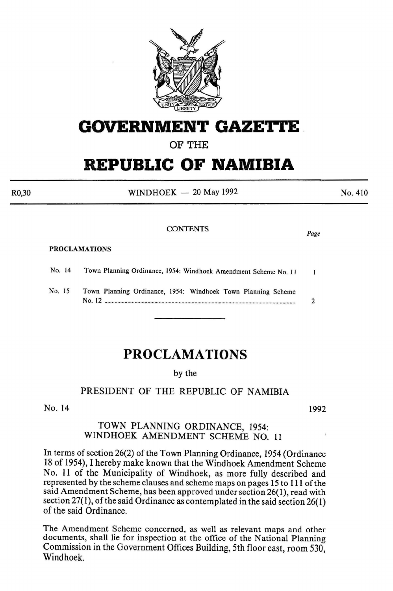

# **GOVERNMENT GAZETTE .**

OF THE

# **REPUBLIC OF NAMIBIA**

 $WINDHOEK - 20$  May 1992

### PROCLAMATIONS

| No. 14 | Town Planning Ordinance, 1954: Windhoek Amendment Scheme No. 11            |  |
|--------|----------------------------------------------------------------------------|--|
| No. 15 | Town Planning Ordinance, 1954: Windhoek Town Planning Scheme<br>$No. 12$ . |  |
|        |                                                                            |  |

## **PROCLAMATIONS**

## by the

## PRESIDENT OF THE REPUBLIC OF NAMIBIA

No. 14 1992

## TOWN PLANNING ORDINANCE, 1954: WINDHOEK AMENDMENT SCHEME NO. 11

In terms of section 26(2) of the Town Planning Ordinance, 1954 (Ordinance 18 of 1954), I hereby make known that the Windhoek Amendment Scheme No. 11 of the Municipality of Windhoek, as more fully described and represented by the scheme clauses and scheme maps on pages 15 to 111 of the said Amendment Scheme, has been approved under section 26(1), read with section  $27(1)$ , of the said Ordinance as contemplated in the said section  $26(1)$ of the said Ordinance.

The Amendment Scheme concerned, as well as relevant maps and other documents, shall lie for inspection at the office of the National Planning Commission in the Government Offices Building, 5th floor east, room 530, Windhoek.

CONTENTS *Page* 

No. 410

R0,30